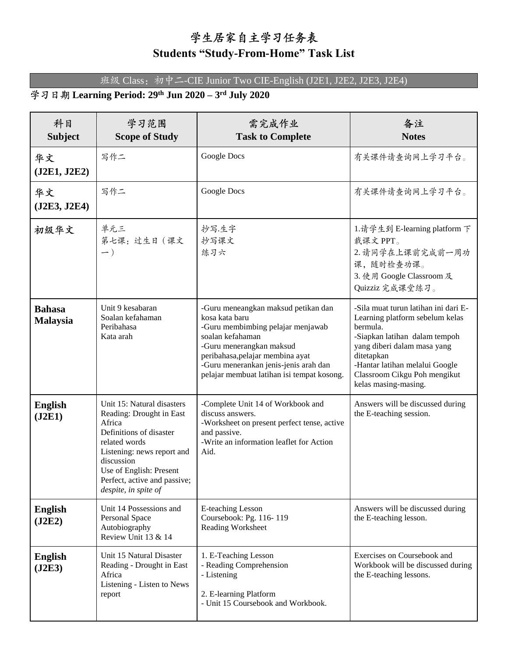## 学生居家自主学习任务表

## **Students "Study-From-Home" Task List**

班级 Class: 初中二-CIE Junior Two CIE-English (J2E1, J2E2, J2E3, J2E4)

## **Learning Period: 29th Jun 2020 – 3 rd July 2020**

| 科目<br><b>Subject</b>             | 学习范围<br><b>Scope of Study</b>                                                                                                                                                                                                               | 需完成作业<br><b>Task to Complete</b>                                                                                                                                                                                                                                      | 备注<br><b>Notes</b>                                                                                                                                                                                                                                          |
|----------------------------------|---------------------------------------------------------------------------------------------------------------------------------------------------------------------------------------------------------------------------------------------|-----------------------------------------------------------------------------------------------------------------------------------------------------------------------------------------------------------------------------------------------------------------------|-------------------------------------------------------------------------------------------------------------------------------------------------------------------------------------------------------------------------------------------------------------|
| 华文<br>(J2E1, J2E2)               | 写作二                                                                                                                                                                                                                                         | Google Docs                                                                                                                                                                                                                                                           | 有关课件请查询网上学习平台。                                                                                                                                                                                                                                              |
| 华文<br>(J2E3, J2E4)               | 写作二                                                                                                                                                                                                                                         | Google Docs                                                                                                                                                                                                                                                           | 有关课件请查询网上学习平台。                                                                                                                                                                                                                                              |
| 初级华文                             | 单元三<br>第七课: 过生日 (课文<br>$- )$                                                                                                                                                                                                                | 抄写.生字<br>抄写课文<br>练习六                                                                                                                                                                                                                                                  | 1.请学生到 E-learning platform 下<br>载课文PPT。<br>2. 请同学在上课前完成前一周功<br>课,随时检查功课。<br>3. 使用 Google Classroom 及<br>Quizziz 完成课堂练习。                                                                                                                                     |
| <b>Bahasa</b><br><b>Malaysia</b> | Unit 9 kesabaran<br>Soalan kefahaman<br>Peribahasa<br>Kata arah                                                                                                                                                                             | -Guru meneangkan maksud petikan dan<br>kosa kata baru<br>-Guru membimbing pelajar menjawab<br>soalan kefahaman<br>-Guru menerangkan maksud<br>peribahasa, pelajar membina ayat<br>-Guru menerankan jenis-jenis arah dan<br>pelajar membuat latihan isi tempat kosong. | -Sila muat turun latihan ini dari E-<br>Learning platform sebelum kelas<br>bermula.<br>-Siapkan latihan dalam tempoh<br>yang diberi dalam masa yang<br>ditetapkan<br>-Hantar latihan melalui Google<br>Classroom Cikgu Poh mengikut<br>kelas masing-masing. |
| <b>English</b><br>(J2E1)         | Unit 15: Natural disasters<br>Reading: Drought in East<br>Africa<br>Definitions of disaster<br>related words<br>Listening: news report and<br>discussion<br>Use of English: Present<br>Perfect, active and passive;<br>despite, in spite of | -Complete Unit 14 of Workbook and<br>discuss answers.<br>-Worksheet on present perfect tense, active<br>and passive.<br>-Write an information leaflet for Action<br>Aid.                                                                                              | Answers will be discussed during<br>the E-teaching session.                                                                                                                                                                                                 |
| <b>English</b><br>(J2E2)         | Unit 14 Possessions and<br>Personal Space<br>Autobiography<br>Review Unit 13 & 14                                                                                                                                                           | E-teaching Lesson<br>Coursebook: Pg. 116-119<br>Reading Worksheet                                                                                                                                                                                                     | Answers will be discussed during<br>the E-teaching lesson.                                                                                                                                                                                                  |
| <b>English</b><br>(J2E3)         | Unit 15 Natural Disaster<br>Reading - Drought in East<br>Africa<br>Listening - Listen to News<br>report                                                                                                                                     | 1. E-Teaching Lesson<br>- Reading Comprehension<br>- Listening<br>2. E-learning Platform<br>- Unit 15 Coursebook and Workbook.                                                                                                                                        | Exercises on Coursebook and<br>Workbook will be discussed during<br>the E-teaching lessons.                                                                                                                                                                 |